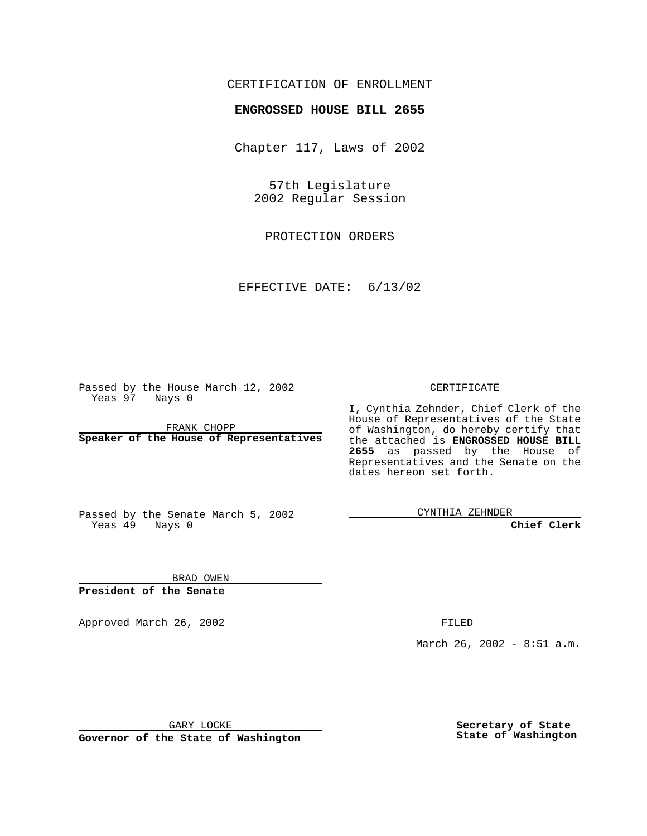## CERTIFICATION OF ENROLLMENT

## **ENGROSSED HOUSE BILL 2655**

Chapter 117, Laws of 2002

57th Legislature 2002 Regular Session

PROTECTION ORDERS

EFFECTIVE DATE: 6/13/02

Passed by the House March 12, 2002 Yeas 97 Nays 0

FRANK CHOPP **Speaker of the House of Representatives** CERTIFICATE

I, Cynthia Zehnder, Chief Clerk of the House of Representatives of the State of Washington, do hereby certify that the attached is **ENGROSSED HOUSE BILL 2655** as passed by the House of Representatives and the Senate on the dates hereon set forth.

Passed by the Senate March 5, 2002 Yeas 49 Nays 0

CYNTHIA ZEHNDER

**Chief Clerk**

BRAD OWEN **President of the Senate**

Approved March 26, 2002 **FILED** 

March 26, 2002 - 8:51 a.m.

GARY LOCKE

**Governor of the State of Washington**

**Secretary of State State of Washington**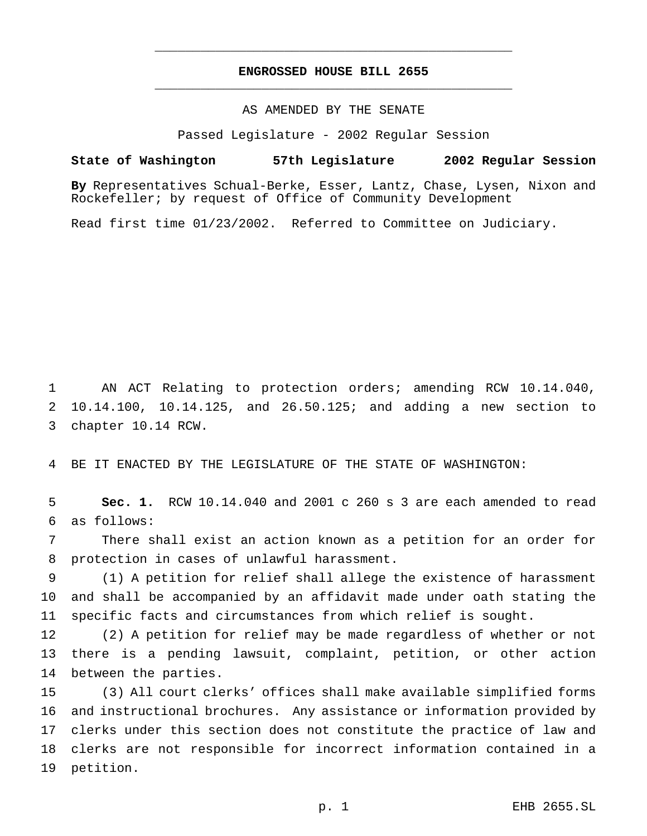## **ENGROSSED HOUSE BILL 2655** \_\_\_\_\_\_\_\_\_\_\_\_\_\_\_\_\_\_\_\_\_\_\_\_\_\_\_\_\_\_\_\_\_\_\_\_\_\_\_\_\_\_\_\_\_\_\_

\_\_\_\_\_\_\_\_\_\_\_\_\_\_\_\_\_\_\_\_\_\_\_\_\_\_\_\_\_\_\_\_\_\_\_\_\_\_\_\_\_\_\_\_\_\_\_

AS AMENDED BY THE SENATE

Passed Legislature - 2002 Regular Session

## **State of Washington 57th Legislature 2002 Regular Session**

**By** Representatives Schual-Berke, Esser, Lantz, Chase, Lysen, Nixon and Rockefeller; by request of Office of Community Development

Read first time 01/23/2002. Referred to Committee on Judiciary.

 AN ACT Relating to protection orders; amending RCW 10.14.040, 10.14.100, 10.14.125, and 26.50.125; and adding a new section to chapter 10.14 RCW.

BE IT ENACTED BY THE LEGISLATURE OF THE STATE OF WASHINGTON:

 **Sec. 1.** RCW 10.14.040 and 2001 c 260 s 3 are each amended to read as follows:

 There shall exist an action known as a petition for an order for protection in cases of unlawful harassment.

 (1) A petition for relief shall allege the existence of harassment and shall be accompanied by an affidavit made under oath stating the specific facts and circumstances from which relief is sought.

 (2) A petition for relief may be made regardless of whether or not there is a pending lawsuit, complaint, petition, or other action between the parties.

 (3) All court clerks' offices shall make available simplified forms and instructional brochures. Any assistance or information provided by clerks under this section does not constitute the practice of law and clerks are not responsible for incorrect information contained in a petition.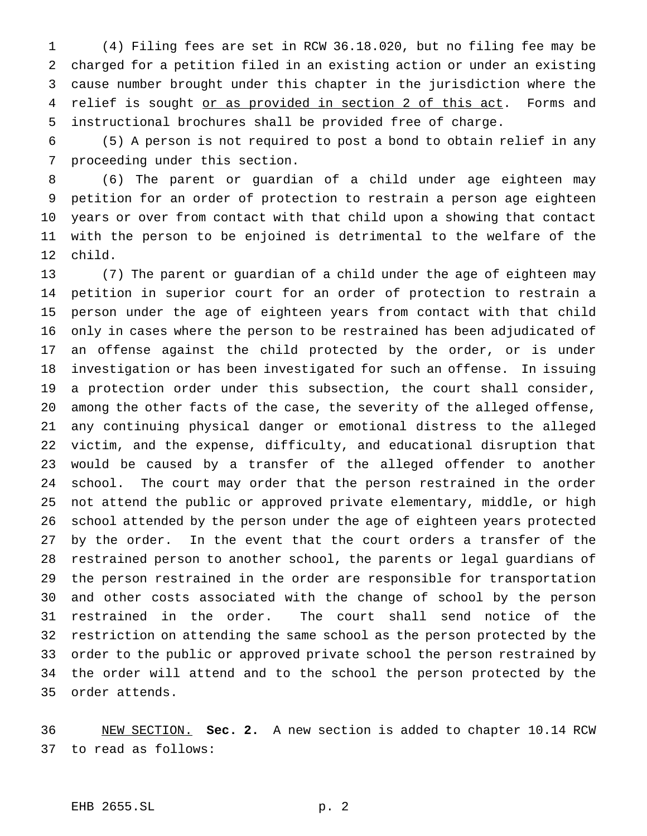(4) Filing fees are set in RCW 36.18.020, but no filing fee may be charged for a petition filed in an existing action or under an existing cause number brought under this chapter in the jurisdiction where the 4 relief is sought or as provided in section 2 of this act. Forms and instructional brochures shall be provided free of charge.

 (5) A person is not required to post a bond to obtain relief in any proceeding under this section.

 (6) The parent or guardian of a child under age eighteen may petition for an order of protection to restrain a person age eighteen years or over from contact with that child upon a showing that contact with the person to be enjoined is detrimental to the welfare of the child.

 (7) The parent or guardian of a child under the age of eighteen may petition in superior court for an order of protection to restrain a person under the age of eighteen years from contact with that child only in cases where the person to be restrained has been adjudicated of an offense against the child protected by the order, or is under investigation or has been investigated for such an offense. In issuing a protection order under this subsection, the court shall consider, among the other facts of the case, the severity of the alleged offense, any continuing physical danger or emotional distress to the alleged victim, and the expense, difficulty, and educational disruption that would be caused by a transfer of the alleged offender to another school. The court may order that the person restrained in the order not attend the public or approved private elementary, middle, or high school attended by the person under the age of eighteen years protected by the order. In the event that the court orders a transfer of the restrained person to another school, the parents or legal guardians of the person restrained in the order are responsible for transportation and other costs associated with the change of school by the person restrained in the order. The court shall send notice of the restriction on attending the same school as the person protected by the order to the public or approved private school the person restrained by the order will attend and to the school the person protected by the order attends.

 NEW SECTION. **Sec. 2.** A new section is added to chapter 10.14 RCW to read as follows: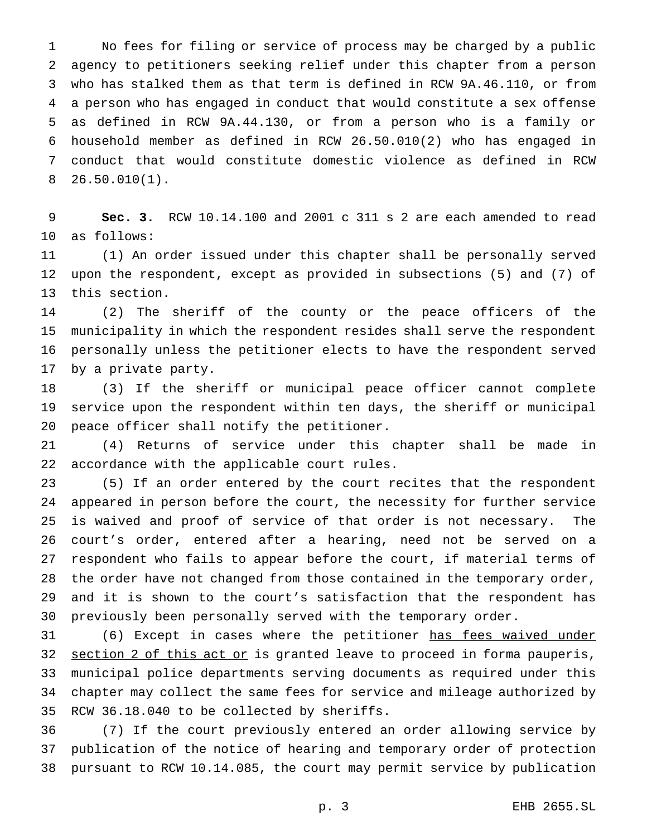No fees for filing or service of process may be charged by a public agency to petitioners seeking relief under this chapter from a person who has stalked them as that term is defined in RCW 9A.46.110, or from a person who has engaged in conduct that would constitute a sex offense as defined in RCW 9A.44.130, or from a person who is a family or household member as defined in RCW 26.50.010(2) who has engaged in conduct that would constitute domestic violence as defined in RCW 26.50.010(1).

 **Sec. 3.** RCW 10.14.100 and 2001 c 311 s 2 are each amended to read as follows:

 (1) An order issued under this chapter shall be personally served upon the respondent, except as provided in subsections (5) and (7) of this section.

 (2) The sheriff of the county or the peace officers of the municipality in which the respondent resides shall serve the respondent personally unless the petitioner elects to have the respondent served by a private party.

 (3) If the sheriff or municipal peace officer cannot complete service upon the respondent within ten days, the sheriff or municipal peace officer shall notify the petitioner.

 (4) Returns of service under this chapter shall be made in accordance with the applicable court rules.

 (5) If an order entered by the court recites that the respondent appeared in person before the court, the necessity for further service is waived and proof of service of that order is not necessary. The court's order, entered after a hearing, need not be served on a respondent who fails to appear before the court, if material terms of the order have not changed from those contained in the temporary order, and it is shown to the court's satisfaction that the respondent has previously been personally served with the temporary order.

31 (6) Except in cases where the petitioner has fees waived under 32 section 2 of this act or is granted leave to proceed in forma pauperis, municipal police departments serving documents as required under this chapter may collect the same fees for service and mileage authorized by RCW 36.18.040 to be collected by sheriffs.

 (7) If the court previously entered an order allowing service by publication of the notice of hearing and temporary order of protection pursuant to RCW 10.14.085, the court may permit service by publication